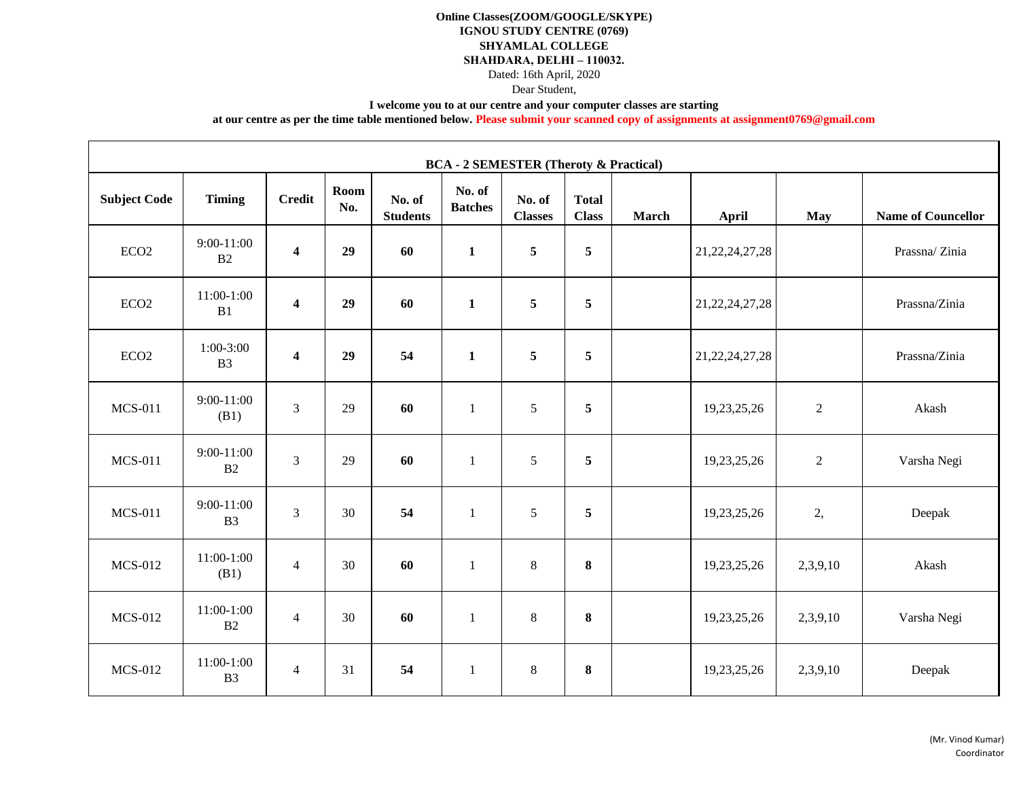### **Online Classes(ZOOM/GOOGLE/SKYPE) IGNOU STUDY CENTRE (0769) SHYAMLAL COLLEGE SHAHDARA, DELHI – 110032.** Dated: 16th April, 2020 Dear Student,

**I welcome you to at our centre and your computer classes are starting** 

**at our centre as per the time table mentioned below. Please submit your scanned copy of assignments at assignment0769@gmail.com**

| <b>BCA - 2 SEMESTER (Theroty &amp; Practical)</b> |                                |                         |             |                           |                          |                          |                              |              |                    |                |                           |  |  |
|---------------------------------------------------|--------------------------------|-------------------------|-------------|---------------------------|--------------------------|--------------------------|------------------------------|--------------|--------------------|----------------|---------------------------|--|--|
| <b>Subject Code</b>                               | <b>Timing</b>                  | <b>Credit</b>           | Room<br>No. | No. of<br><b>Students</b> | No. of<br><b>Batches</b> | No. of<br><b>Classes</b> | <b>Total</b><br><b>Class</b> | <b>March</b> | <b>April</b>       | <b>May</b>     | <b>Name of Councellor</b> |  |  |
| ECO <sub>2</sub>                                  | $9:00-11:00$<br>B <sub>2</sub> | $\overline{\mathbf{4}}$ | 29          | 60                        | $\mathbf{1}$             | 5                        | $\overline{5}$               |              | 21, 22, 24, 27, 28 |                | Prassna/Zinia             |  |  |
| ECO <sub>2</sub>                                  | 11:00-1:00<br>B1               | $\overline{\mathbf{4}}$ | 29          | 60                        | $\mathbf{1}$             | 5                        | $\overline{5}$               |              | 21, 22, 24, 27, 28 |                | Prassna/Zinia             |  |  |
| ECO2                                              | $1:00-3:00$<br>B <sub>3</sub>  | $\overline{\mathbf{4}}$ | 29          | 54                        | $\mathbf{1}$             | $\sqrt{5}$               | $\sqrt{5}$                   |              | 21, 22, 24, 27, 28 |                | Prassna/Zinia             |  |  |
| <b>MCS-011</b>                                    | $9:00-11:00$<br>(B1)           | $\overline{3}$          | 29          | 60                        | $\mathbf{1}$             | $\sqrt{5}$               | $\overline{5}$               |              | 19,23,25,26        | $\overline{2}$ | Akash                     |  |  |
| <b>MCS-011</b>                                    | $9:00-11:00$<br>B2             | $\overline{3}$          | 29          | 60                        | $\mathbf{1}$             | $\mathfrak{H}$           | $\overline{5}$               |              | 19,23,25,26        | $\overline{c}$ | Varsha Negi               |  |  |
| <b>MCS-011</b>                                    | 9:00-11:00<br>B <sub>3</sub>   | 3                       | 30          | 54                        | $\mathbf{1}$             | $\mathfrak{H}$           | $\overline{5}$               |              | 19,23,25,26        | 2,             | Deepak                    |  |  |
| <b>MCS-012</b>                                    | 11:00-1:00<br>(B1)             | $\overline{4}$          | 30          | 60                        | 1                        | $\,8\,$                  | 8                            |              | 19,23,25,26        | 2,3,9,10       | Akash                     |  |  |
| <b>MCS-012</b>                                    | 11:00-1:00<br>B2               | $\overline{4}$          | 30          | 60                        | 1                        | $\,8\,$                  | $\bf{8}$                     |              | 19,23,25,26        | 2,3,9,10       | Varsha Negi               |  |  |
| <b>MCS-012</b>                                    | 11:00-1:00<br>B <sub>3</sub>   | $\overline{4}$          | 31          | 54                        | $\mathbf{1}$             | $\,8\,$                  | $\bf 8$                      |              | 19,23,25,26        | 2,3,9,10       | Deepak                    |  |  |

 $\blacksquare$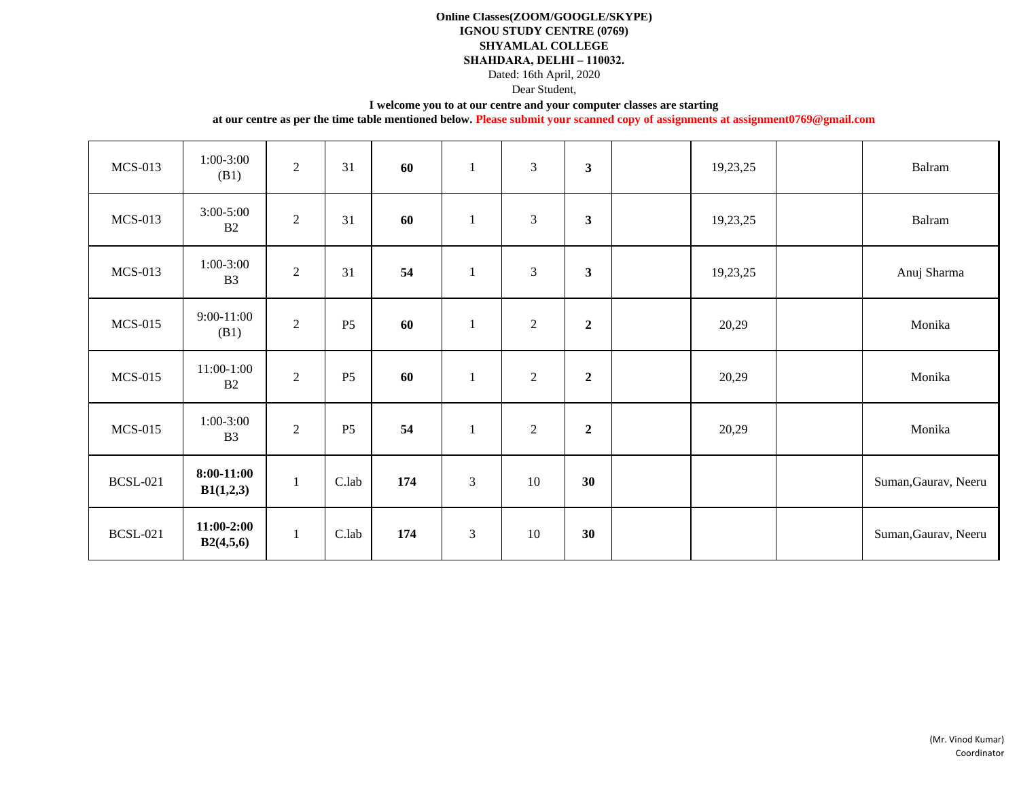### **Online Classes(ZOOM/GOOGLE/SKYPE) IGNOU STUDY CENTRE (0769) SHYAMLAL COLLEGE SHAHDARA, DELHI – 110032.**

Dated: 16th April, 2020

Dear Student,

#### **I welcome you to at our centre and your computer classes are starting**

| <b>MCS-013</b>  | $1:00-3:00$<br>(B1)            | $\overline{2}$ | 31             | 60  | $\mathbf{1}$   | $\mathfrak{Z}$ | $\overline{\mathbf{3}}$ | 19,23,25 | Balram               |
|-----------------|--------------------------------|----------------|----------------|-----|----------------|----------------|-------------------------|----------|----------------------|
| <b>MCS-013</b>  | $3:00-5:00$<br>B2              | $\overline{2}$ | 31             | 60  | $\mathbf{1}$   | 3              | $\mathbf{3}$            | 19,23,25 | Balram               |
| <b>MCS-013</b>  | $1:00-3:00$<br>B <sub>3</sub>  | $\overline{2}$ | 31             | 54  | $\mathbf{1}$   | 3              | $\mathbf{3}$            | 19,23,25 | Anuj Sharma          |
| <b>MCS-015</b>  | $9:00-11:00$<br>(B1)           | $\overline{2}$ | <b>P5</b>      | 60  | 1              | $\sqrt{2}$     | $\overline{2}$          | 20,29    | Monika               |
| <b>MCS-015</b>  | $11:00-1:00$<br>B <sub>2</sub> | $\overline{2}$ | <b>P5</b>      | 60  | $\mathbf{1}$   | $\overline{2}$ | $\boldsymbol{2}$        | 20,29    | Monika               |
| <b>MCS-015</b>  | $1:00-3:00$<br>B <sub>3</sub>  | $\overline{2}$ | P <sub>5</sub> | 54  | $\mathbf{1}$   | $\sqrt{2}$     | $\boldsymbol{2}$        | 20,29    | Monika               |
| <b>BCSL-021</b> | $8:00-11:00$<br>B1(1,2,3)      | 1              | C.lab          | 174 | $\mathfrak{Z}$ | 10             | 30                      |          | Suman, Gaurav, Neeru |
| <b>BCSL-021</b> | $11:00-2:00$<br>B2(4,5,6)      | $\mathbf{1}$   | C.lab          | 174 | $\mathfrak{Z}$ | 10             | 30                      |          | Suman, Gaurav, Neeru |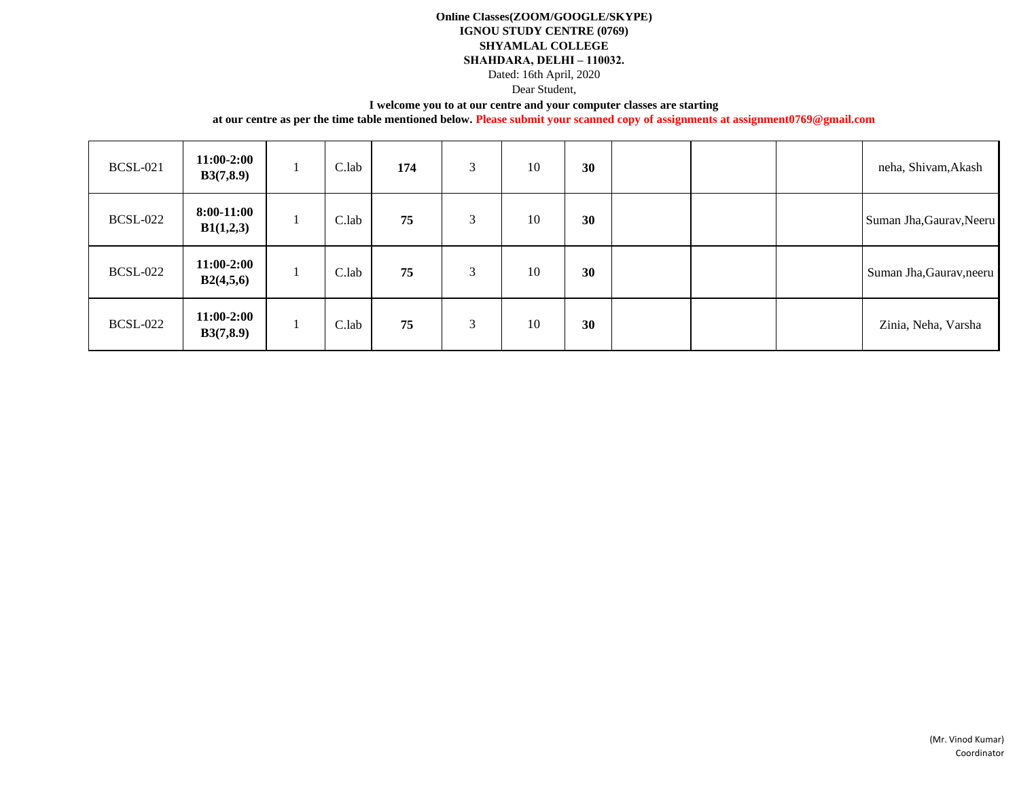### **Online Classes(ZOOM/GOOGLE/SKYPE) IGNOU STUDY CENTRE (0769) SHYAMLAL COLLEGE SHAHDARA, DELHI – 110032.** Dated: 16th April, 2020

Dear Student,

#### **I welcome you to at our centre and your computer classes are starting**

| <b>BCSL-021</b> | $11:00-2:00$<br>B3(7, 8.9) | C.lab | 174 | 3 | 10 | 30 |  | neha, Shivam, Akash      |
|-----------------|----------------------------|-------|-----|---|----|----|--|--------------------------|
| <b>BCSL-022</b> | $8:00-11:00$<br>B1(1,2,3)  | C.lab | 75  | 3 | 10 | 30 |  | Suman Jha, Gaurav, Neeru |
| <b>BCSL-022</b> | $11:00-2:00$<br>B2(4,5,6)  | C.lab | 75  | 3 | 10 | 30 |  | Suman Jha, Gaurav, neeru |
| <b>BCSL-022</b> | $11:00-2:00$<br>B3(7,8.9)  | C.lab | 75  | 3 | 10 | 30 |  | Zinia, Neha, Varsha      |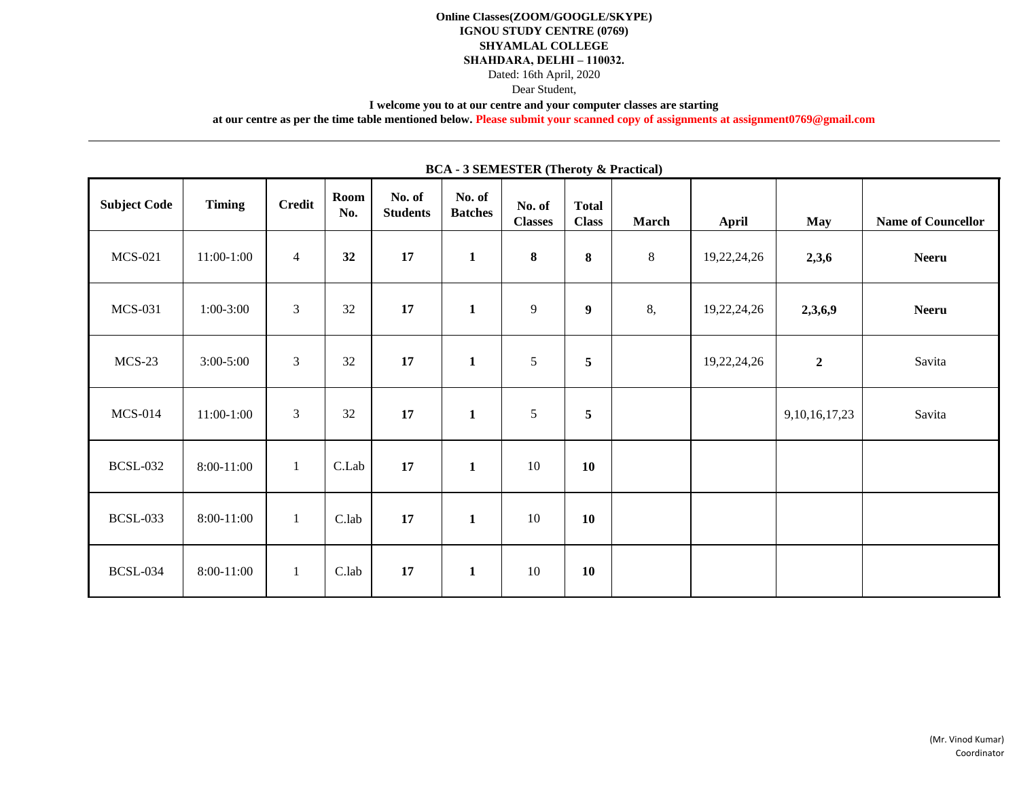### **Online Classes(ZOOM/GOOGLE/SKYPE) IGNOU STUDY CENTRE (0769) SHYAMLAL COLLEGE SHAHDARA, DELHI – 110032.** Dated: 16th April, 2020 Dear Student,

**I welcome you to at our centre and your computer classes are starting** 

**at our centre as per the time table mentioned below. Please submit your scanned copy of assignments at assignment0769@gmail.com**

|                     | BUA - 3 SEMESTER (THE GUY & PRECUCAL) |                |                    |                           |                          |                          |                              |       |             |                   |                           |  |  |
|---------------------|---------------------------------------|----------------|--------------------|---------------------------|--------------------------|--------------------------|------------------------------|-------|-------------|-------------------|---------------------------|--|--|
| <b>Subject Code</b> | <b>Timing</b>                         | <b>Credit</b>  | <b>Room</b><br>No. | No. of<br><b>Students</b> | No. of<br><b>Batches</b> | No. of<br><b>Classes</b> | <b>Total</b><br><b>Class</b> | March | April       | <b>May</b>        | <b>Name of Councellor</b> |  |  |
| <b>MCS-021</b>      | 11:00-1:00                            | $\overline{4}$ | 32                 | 17                        | $\mathbf{1}$             | $\bf 8$                  | $\bf{8}$                     | $8\,$ | 19,22,24,26 | 2,3,6             | <b>Neeru</b>              |  |  |
| <b>MCS-031</b>      | $1:00-3:00$                           | $\mathfrak{Z}$ | 32                 | 17                        | $\mathbf{1}$             | 9                        | $\boldsymbol{9}$             | 8,    | 19,22,24,26 | 2,3,6,9           | <b>Neeru</b>              |  |  |
| $MCS-23$            | $3:00 - 5:00$                         | $\mathfrak{Z}$ | 32                 | 17                        | $\mathbf{1}$             | 5                        | $\sqrt{5}$                   |       | 19,22,24,26 | $\boldsymbol{2}$  | Savita                    |  |  |
| $MCS-014$           | 11:00-1:00                            | $\mathfrak{Z}$ | 32                 | 17                        | $\mathbf{1}$             | 5                        | 5                            |       |             | 9, 10, 16, 17, 23 | Savita                    |  |  |
| <b>BCSL-032</b>     | 8:00-11:00                            | $\mathbf{1}$   | C.Lab              | 17                        | $\mathbf{1}$             | 10                       | <b>10</b>                    |       |             |                   |                           |  |  |
| <b>BCSL-033</b>     | 8:00-11:00                            | $\mathbf{1}$   | C.lab              | 17                        | $\mathbf{1}$             | 10                       | 10                           |       |             |                   |                           |  |  |
| <b>BCSL-034</b>     | 8:00-11:00                            | $\mathbf{1}$   | C.lab              | 17                        | $\mathbf{1}$             | 10                       | <b>10</b>                    |       |             |                   |                           |  |  |

**BCA - 3 SEMESTER (Theroty & Practical)**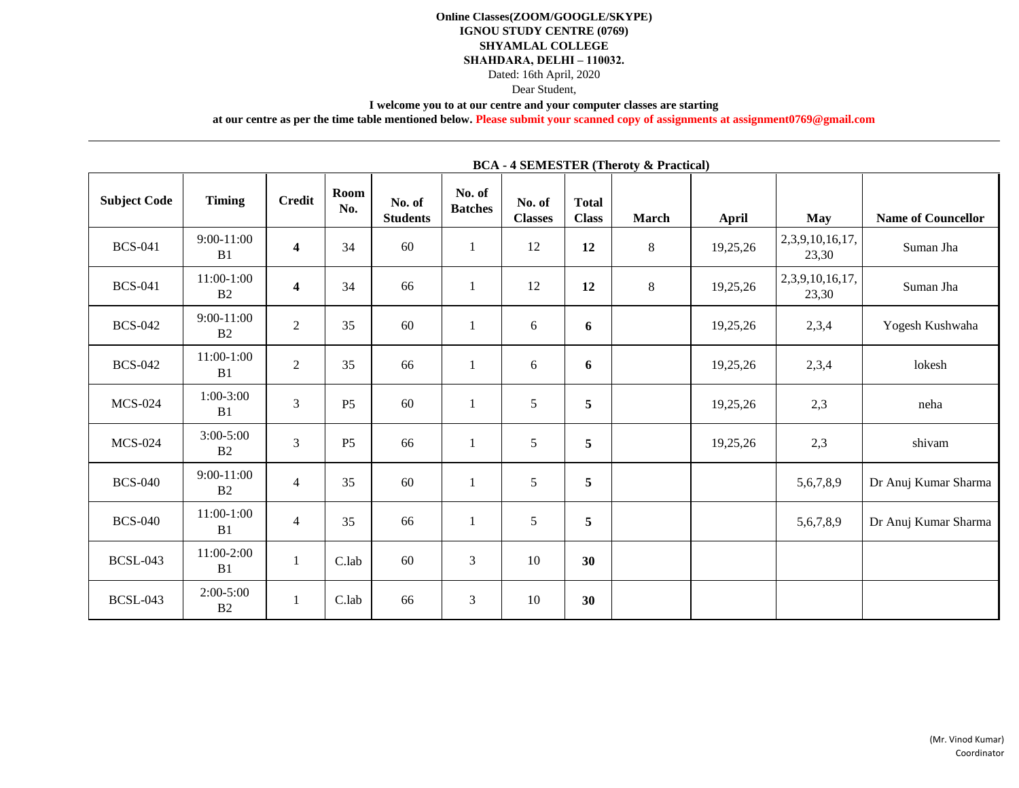## **Online Classes(ZOOM/GOOGLE/SKYPE) IGNOU STUDY CENTRE (0769) SHYAMLAL COLLEGE SHAHDARA, DELHI – 110032.** Dated: 16th April, 2020

Dear Student,

#### **I welcome you to at our centre and your computer classes are starting**

**at our centre as per the time table mentioned below. Please submit your scanned copy of assignments at assignment0769@gmail.com**

|                     |                     |                         |                |                           | ⊷                        |                          |                              | $\sim$       |              |                          |                           |
|---------------------|---------------------|-------------------------|----------------|---------------------------|--------------------------|--------------------------|------------------------------|--------------|--------------|--------------------------|---------------------------|
| <b>Subject Code</b> | <b>Timing</b>       | <b>Credit</b>           | Room<br>No.    | No. of<br><b>Students</b> | No. of<br><b>Batches</b> | No. of<br><b>Classes</b> | <b>Total</b><br><b>Class</b> | <b>March</b> | <b>April</b> | <b>May</b>               | <b>Name of Councellor</b> |
| <b>BCS-041</b>      | $9:00-11:00$<br>B1  | $\overline{\mathbf{4}}$ | 34             | 60                        | $\mathbf{1}$             | 12                       | 12                           | 8            | 19,25,26     | 2,3,9,10,16,17,<br>23,30 | Suman Jha                 |
| <b>BCS-041</b>      | $11:00-1:00$<br>B2  | $\overline{\mathbf{4}}$ | 34             | 66                        | $\mathbf{1}$             | 12                       | 12                           | 8            | 19,25,26     | 2,3,9,10,16,17,<br>23,30 | Suman Jha                 |
| <b>BCS-042</b>      | $9:00-11:00$<br>B2  | $\overline{2}$          | 35             | 60                        | $\mathbf{1}$             | 6                        | 6                            |              | 19,25,26     | 2,3,4                    | Yogesh Kushwaha           |
| <b>BCS-042</b>      | $11:00-1:00$<br>B1  | $\sqrt{2}$              | 35             | 66                        | $\mathbf{1}$             | 6                        | 6                            |              | 19,25,26     | 2,3,4                    | lokesh                    |
| <b>MCS-024</b>      | $1:00-3:00$<br>B1   | $\overline{3}$          | P <sub>5</sub> | 60                        | $\mathbf{1}$             | 5                        | $\overline{\mathbf{5}}$      |              | 19,25,26     | 2,3                      | neha                      |
| <b>MCS-024</b>      | $3:00 - 5:00$<br>B2 | $\overline{3}$          | P <sub>5</sub> | 66                        | $\mathbf{1}$             | 5                        | $\sqrt{5}$                   |              | 19,25,26     | 2,3                      | shivam                    |
| <b>BCS-040</b>      | $9:00-11:00$<br>B2  | $\overline{4}$          | 35             | 60                        | $\mathbf{1}$             | 5                        | $\overline{\mathbf{5}}$      |              |              | 5,6,7,8,9                | Dr Anuj Kumar Sharma      |
| <b>BCS-040</b>      | $11:00-1:00$<br>B1  | $\overline{4}$          | 35             | 66                        | $\mathbf{1}$             | 5                        | 5                            |              |              | 5,6,7,8,9                | Dr Anuj Kumar Sharma      |
| <b>BCSL-043</b>     | 11:00-2:00<br>B1    | $\mathbf{1}$            | C.lab          | 60                        | 3                        | 10                       | 30                           |              |              |                          |                           |
| <b>BCSL-043</b>     | $2:00-5:00$<br>B2   | $\mathbf{1}$            | C.lab          | 66                        | 3                        | 10                       | 30                           |              |              |                          |                           |

### **BCA - 4 SEMESTER (Theroty & Practical)**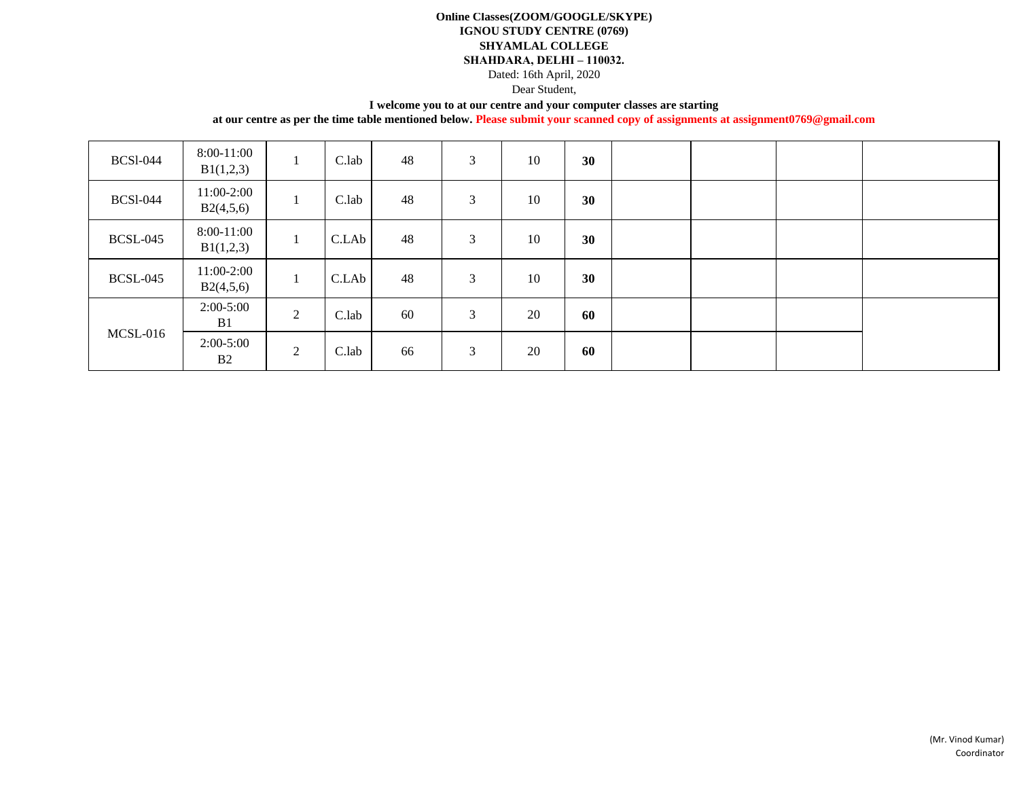### **Online Classes(ZOOM/GOOGLE/SKYPE) IGNOU STUDY CENTRE (0769) SHYAMLAL COLLEGE SHAHDARA, DELHI – 110032.**

Dated: 16th April, 2020

Dear Student,

### **I welcome you to at our centre and your computer classes are starting**

| <b>BCS1-044</b> | 8:00-11:00<br>B1(1,2,3)       | $\bf{I}$       | C.lab | 48 | 3 | 10 | 30 |  |  |
|-----------------|-------------------------------|----------------|-------|----|---|----|----|--|--|
| <b>BCS1-044</b> | 11:00-2:00<br>B2(4,5,6)       | $\bf{1}$       | C.lab | 48 | 3 | 10 | 30 |  |  |
| <b>BCSL-045</b> | 8:00-11:00<br>B1(1,2,3)       | $\mathbf{I}$   | C.LAb | 48 | 3 | 10 | 30 |  |  |
| <b>BCSL-045</b> | 11:00-2:00<br>B2(4,5,6)       | -1             | C.LAb | 48 | 3 | 10 | 30 |  |  |
|                 | $2:00-5:00$<br>B <sub>1</sub> | $\overline{2}$ | C.lab | 60 | 3 | 20 | 60 |  |  |
| MCSL-016        | $2:00-5:00$<br>B <sub>2</sub> | 2              | C.lab | 66 | 3 | 20 | 60 |  |  |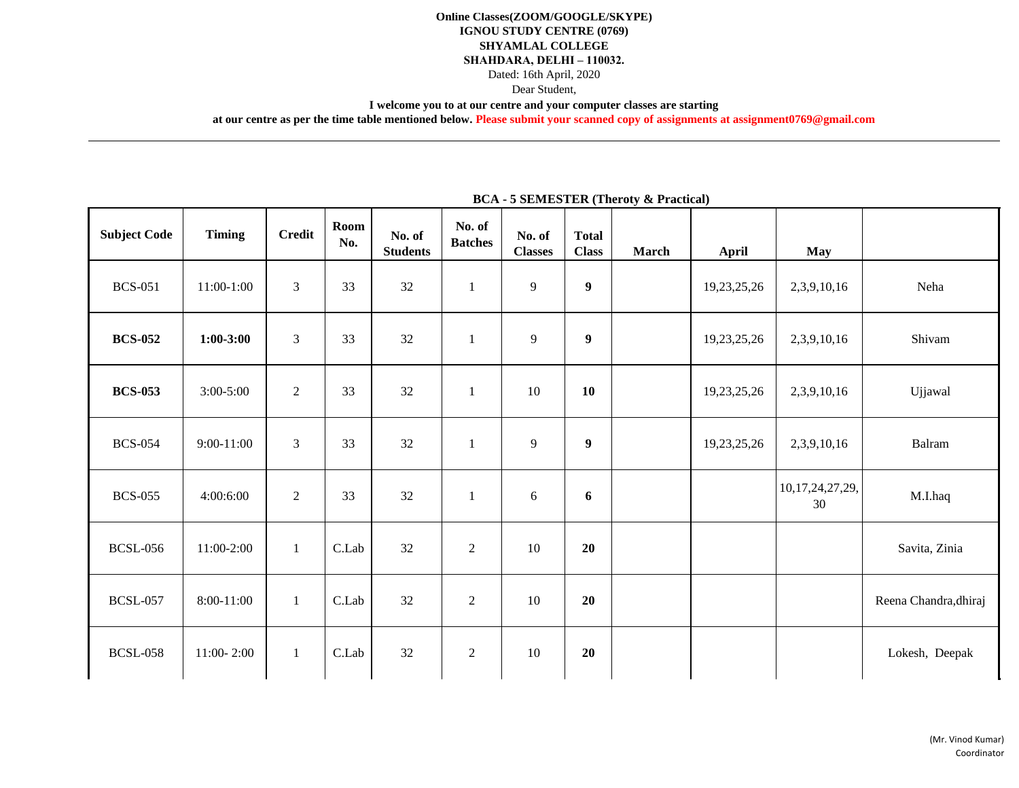### **Online Classes(ZOOM/GOOGLE/SKYPE) IGNOU STUDY CENTRE (0769) SHYAMLAL COLLEGE SHAHDARA, DELHI – 110032.** Dated: 16th April, 2020 Dear Student,

**I welcome you to at our centre and your computer classes are starting** 

**at our centre as per the time table mentioned below. Please submit your scanned copy of assignments at assignment0769@gmail.com**

| <b>Subject Code</b> | <b>Timing</b>  | <b>Credit</b>  | Room<br>No. | No. of<br><b>Students</b> | No. of<br><b>Batches</b> | No. of<br><b>Classes</b> | <b>Total</b><br><b>Class</b> | <b>March</b> | <b>April</b> | <b>May</b>            |                       |
|---------------------|----------------|----------------|-------------|---------------------------|--------------------------|--------------------------|------------------------------|--------------|--------------|-----------------------|-----------------------|
| <b>BCS-051</b>      | $11:00-1:00$   | $\overline{3}$ | 33          | 32                        | $\mathbf{1}$             | 9                        | $\boldsymbol{9}$             |              | 19,23,25,26  | 2,3,9,10,16           | Neha                  |
| <b>BCS-052</b>      | $1:00-3:00$    | $\overline{3}$ | 33          | 32                        | $\mathbf{1}$             | $\mathbf{9}$             | $\boldsymbol{9}$             |              | 19,23,25,26  | 2,3,9,10,16           | Shivam                |
| <b>BCS-053</b>      | $3:00 - 5:00$  | $\overline{2}$ | 33          | 32                        | $\mathbf{1}$             | 10                       | <b>10</b>                    |              | 19,23,25,26  | 2,3,9,10,16           | Ujjawal               |
| <b>BCS-054</b>      | 9:00-11:00     | 3              | 33          | 32                        | $\mathbf{1}$             | 9                        | $\boldsymbol{9}$             |              | 19,23,25,26  | 2,3,9,10,16           | Balram                |
| <b>BCS-055</b>      | 4:00:6:00      | $\overline{2}$ | 33          | 32                        | $\mathbf{1}$             | $\boldsymbol{6}$         | 6                            |              |              | 10,17,24,27,29,<br>30 | M.I.haq               |
| <b>BCSL-056</b>     | 11:00-2:00     | $\mathbf{1}$   | C.Lab       | 32                        | $\sqrt{2}$               | 10                       | 20                           |              |              |                       | Savita, Zinia         |
| <b>BCSL-057</b>     | 8:00-11:00     | $\mathbf{1}$   | C.Lab       | 32                        | $\overline{2}$           | 10                       | 20                           |              |              |                       | Reena Chandra, dhiraj |
| <b>BCSL-058</b>     | $11:00 - 2:00$ | $\mathbf{1}$   | C.Lab       | 32                        | $\sqrt{2}$               | 10                       | 20                           |              |              |                       | Lokesh, Deepak        |

## **BCA - 5 SEMESTER (Theroty & Practical)**